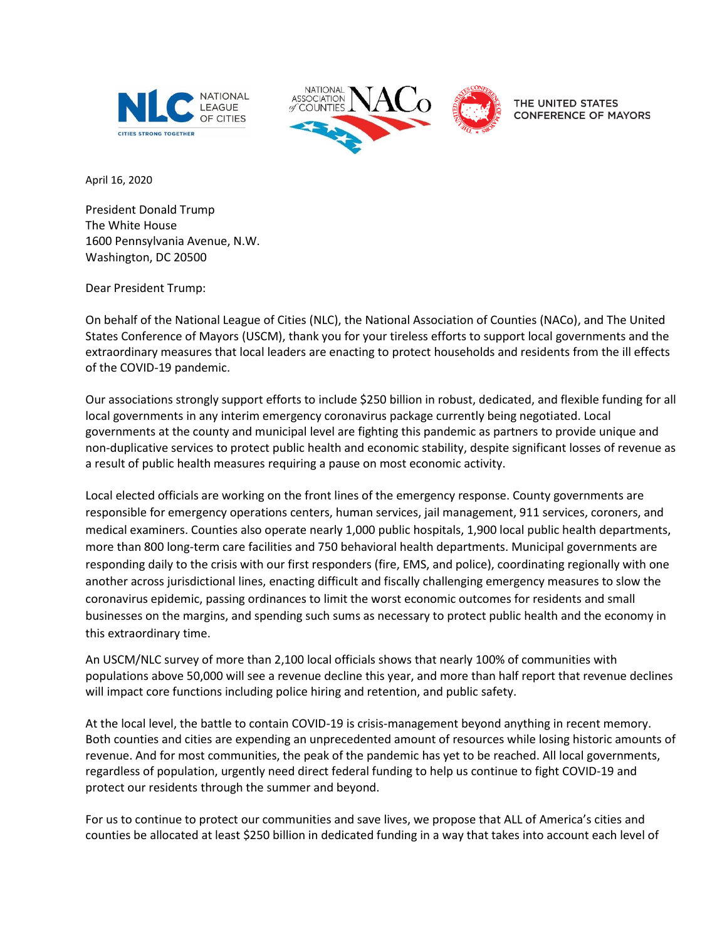



THE UNITED STATES **CONFERENCE OF MAYORS** 

April 16, 2020 

President Donald Trump The White House 1600 Pennsylvania Avenue, N.W. Washington, DC 20500

Dear President Trump:

On behalf of the National League of Cities (NLC), the National Association of Counties (NACo), and The United States Conference of Mayors (USCM), thank you for your tireless efforts to support local governments and the extraordinary measures that local leaders are enacting to protect households and residents from the ill effects of the COVID-19 pandemic.

Our associations strongly support efforts to include \$250 billion in robust, dedicated, and flexible funding for all local governments in any interim emergency coronavirus package currently being negotiated. Local governments at the county and municipal level are fighting this pandemic as partners to provide unique and non-duplicative services to protect public health and economic stability, despite significant losses of revenue as a result of public health measures requiring a pause on most economic activity.

Local elected officials are working on the front lines of the emergency response. County governments are responsible for emergency operations centers, human services, jail management, 911 services, coroners, and medical examiners. Counties also operate nearly 1,000 public hospitals, 1,900 local public health departments, more than 800 long-term care facilities and 750 behavioral health departments. Municipal governments are responding daily to the crisis with our first responders (fire, EMS, and police), coordinating regionally with one another across jurisdictional lines, enacting difficult and fiscally challenging emergency measures to slow the coronavirus epidemic, passing ordinances to limit the worst economic outcomes for residents and small businesses on the margins, and spending such sums as necessary to protect public health and the economy in this extraordinary time.

An USCM/NLC survey of more than 2,100 local officials shows that nearly 100% of communities with populations above 50,000 will see a revenue decline this year, and more than half report that revenue declines will impact core functions including police hiring and retention, and public safety.

At the local level, the battle to contain COVID-19 is crisis-management beyond anything in recent memory. Both counties and cities are expending an unprecedented amount of resources while losing historic amounts of revenue. And for most communities, the peak of the pandemic has yet to be reached. All local governments, regardless of population, urgently need direct federal funding to help us continue to fight COVID-19 and protect our residents through the summer and beyond.

For us to continue to protect our communities and save lives, we propose that ALL of America's cities and counties be allocated at least \$250 billion in dedicated funding in a way that takes into account each level of